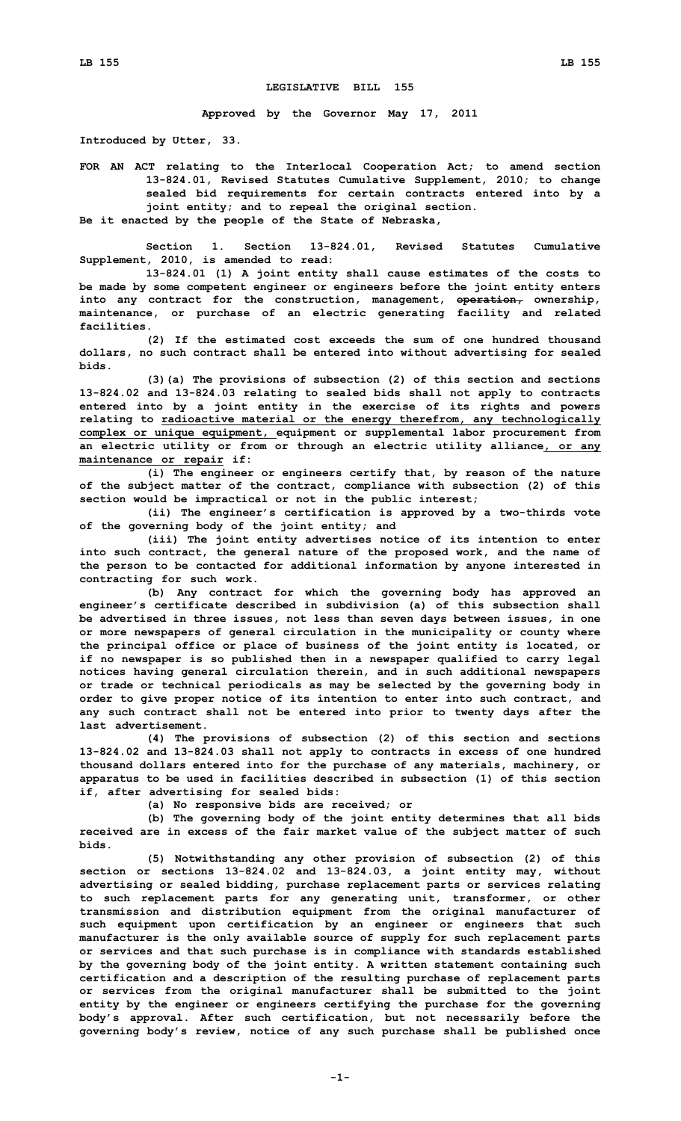## **LEGISLATIVE BILL 155**

**Approved by the Governor May 17, 2011**

**Introduced by Utter, 33.**

**FOR AN ACT relating to the Interlocal Cooperation Act; to amend section 13-824.01, Revised Statutes Cumulative Supplement, 2010; to change sealed bid requirements for certain contracts entered into by <sup>a</sup> joint entity; and to repeal the original section. Be it enacted by the people of the State of Nebraska,**

**Section 1. Section 13-824.01, Revised Statutes Cumulative**

**Supplement, 2010, is amended to read:**

**13-824.01 (1) <sup>A</sup> joint entity shall cause estimates of the costs to be made by some competent engineer or engineers before the joint entity enters into any contract for the construction, management, operation, ownership, maintenance, or purchase of an electric generating facility and related facilities.**

**(2) If the estimated cost exceeds the sum of one hundred thousand dollars, no such contract shall be entered into without advertising for sealed bids.**

**(3)(a) The provisions of subsection (2) of this section and sections 13-824.02 and 13-824.03 relating to sealed bids shall not apply to contracts entered into by <sup>a</sup> joint entity in the exercise of its rights and powers relating to radioactive material or the energy therefrom, any technologically complex or unique equipment, equipment or supplemental labor procurement from an electric utility or from or through an electric utility alliance, or any maintenance or repair if:**

**(i) The engineer or engineers certify that, by reason of the nature of the subject matter of the contract, compliance with subsection (2) of this section would be impractical or not in the public interest;**

**(ii) The engineer's certification is approved by <sup>a</sup> two-thirds vote of the governing body of the joint entity; and**

**(iii) The joint entity advertises notice of its intention to enter into such contract, the general nature of the proposed work, and the name of the person to be contacted for additional information by anyone interested in contracting for such work.**

**(b) Any contract for which the governing body has approved an engineer's certificate described in subdivision (a) of this subsection shall be advertised in three issues, not less than seven days between issues, in one or more newspapers of general circulation in the municipality or county where the principal office or place of business of the joint entity is located, or if no newspaper is so published then in <sup>a</sup> newspaper qualified to carry legal notices having general circulation therein, and in such additional newspapers or trade or technical periodicals as may be selected by the governing body in order to give proper notice of its intention to enter into such contract, and any such contract shall not be entered into prior to twenty days after the last advertisement.**

**(4) The provisions of subsection (2) of this section and sections 13-824.02 and 13-824.03 shall not apply to contracts in excess of one hundred thousand dollars entered into for the purchase of any materials, machinery, or apparatus to be used in facilities described in subsection (1) of this section if, after advertising for sealed bids:**

**(a) No responsive bids are received; or**

**(b) The governing body of the joint entity determines that all bids received are in excess of the fair market value of the subject matter of such bids.**

**(5) Notwithstanding any other provision of subsection (2) of this section or sections 13-824.02 and 13-824.03, <sup>a</sup> joint entity may, without advertising or sealed bidding, purchase replacement parts or services relating to such replacement parts for any generating unit, transformer, or other transmission and distribution equipment from the original manufacturer of such equipment upon certification by an engineer or engineers that such manufacturer is the only available source of supply for such replacement parts or services and that such purchase is in compliance with standards established by the governing body of the joint entity. A written statement containing such certification and <sup>a</sup> description of the resulting purchase of replacement parts or services from the original manufacturer shall be submitted to the joint entity by the engineer or engineers certifying the purchase for the governing body's approval. After such certification, but not necessarily before the governing body's review, notice of any such purchase shall be published once**